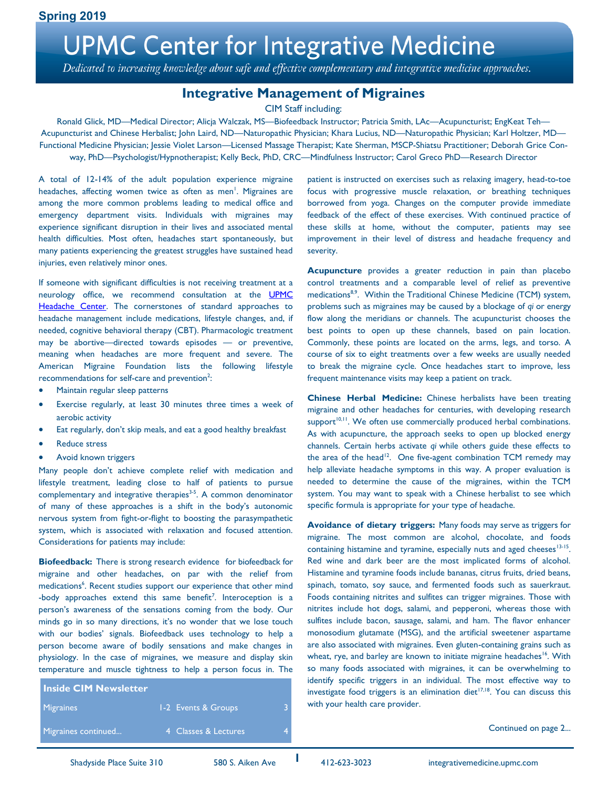Dedicated to increasing knowledge about safe and effective complementary and integrative medicine approaches.

### **Integrative Management of Migraines**

CIM Staff including:

Ronald Glick, MD—Medical Director; Alicja Walczak, MS—Biofeedback Instructor; Patricia Smith, LAc—Acupuncturist; EngKeat Teh— Acupuncturist and Chinese Herbalist; John Laird, ND—Naturopathic Physician; Khara Lucius, ND—Naturopathic Physician; Karl Holtzer, MD— Functional Medicine Physician; Jessie Violet Larson—Licensed Massage Therapist; Kate Sherman, MSCP-Shiatsu Practitioner; Deborah Grice Conway, PhD—Psychologist/Hypnotherapist; Kelly Beck, PhD, CRC—Mindfulness Instructor; Carol Greco PhD—Research Director

A total of 12-14% of the adult population experience migraine headaches, affecting women twice as often as men<sup>1</sup>. Migraines are among the more common problems leading to medical office and emergency department visits. Individuals with migraines may experience significant disruption in their lives and associated mental health difficulties. Most often, headaches start spontaneously, but many patients experiencing the greatest struggles have sustained head injuries, even relatively minor ones.

If someone with significant difficulties is not receiving treatment at a neurology office, we recommend consultation at the **UPMC** [Headache Center.](https://www.upmc.com/services/neurology/services/headache-center) The cornerstones of standard approaches to headache management include medications, lifestyle changes, and, if needed, cognitive behavioral therapy (CBT). Pharmacologic treatment may be abortive—directed towards episodes — or preventive, meaning when headaches are more frequent and severe. The American Migraine Foundation lists the following lifestyle recommendations for self-care and prevention<sup>2</sup>:

- Maintain regular sleep patterns
- Exercise regularly, at least 30 minutes three times a week of aerobic activity
- Eat regularly, don't skip meals, and eat a good healthy breakfast
- Reduce stress
- Avoid known triggers

Many people don't achieve complete relief with medication and lifestyle treatment, leading close to half of patients to pursue complementary and integrative therapies $3-5$ . A common denominator of many of these approaches is a shift in the body's autonomic nervous system from fight-or-flight to boosting the parasympathetic system, which is associated with relaxation and focused attention. Considerations for patients may include:

**Biofeedback:** There is strong research evidence for biofeedback for migraine and other headaches, on par with the relief from medications<sup>6</sup>. Recent studies support our experience that other mind -body approaches extend this same benefit<sup>7</sup>. Interoception is a person's awareness of the sensations coming from the body. Our minds go in so many directions, it's no wonder that we lose touch with our bodies' signals. Biofeedback uses technology to help a person become aware of bodily sensations and make changes in physiology. In the case of migraines, we measure and display skin temperature and muscle tightness to help a person focus in. The

| <b>Inside CIM Newsletter</b> |                      |  |
|------------------------------|----------------------|--|
| <b>Migraines</b>             | 1-2 Events & Groups  |  |
| Migraines continued          | 4 Classes & Lectures |  |

patient is instructed on exercises such as relaxing imagery, head-to-toe focus with progressive muscle relaxation, or breathing techniques borrowed from yoga. Changes on the computer provide immediate feedback of the effect of these exercises. With continued practice of these skills at home, without the computer, patients may see improvement in their level of distress and headache frequency and severity.

**Acupuncture** provides a greater reduction in pain than placebo control treatments and a comparable level of relief as preventive medications<sup>8,9</sup>. Within the Traditional Chinese Medicine (TCM) system, problems such as migraines may be caused by a blockage of *qi* or energy flow along the meridians or channels. The acupuncturist chooses the best points to open up these channels, based on pain location. Commonly, these points are located on the arms, legs, and torso. A course of six to eight treatments over a few weeks are usually needed to break the migraine cycle. Once headaches start to improve, less frequent maintenance visits may keep a patient on track.

**Chinese Herbal Medicine:** Chinese herbalists have been treating migraine and other headaches for centuries, with developing research support<sup>10,11</sup>. We often use commercially produced herbal combinations. As with acupuncture, the approach seeks to open up blocked energy channels. Certain herbs activate *qi* while others guide these effects to the area of the head<sup>12</sup>. One five-agent combination TCM remedy may help alleviate headache symptoms in this way. A proper evaluation is needed to determine the cause of the migraines, within the TCM system. You may want to speak with a Chinese herbalist to see which specific formula is appropriate for your type of headache.

**Avoidance of dietary triggers:** Many foods may serve as triggers for migraine. The most common are alcohol, chocolate, and foods containing histamine and tyramine, especially nuts and aged cheeses<sup>13-15</sup>. Red wine and dark beer are the most implicated forms of alcohol. Histamine and tyramine foods include bananas, citrus fruits, dried beans, spinach, tomato, soy sauce, and fermented foods such as sauerkraut. Foods containing nitrites and sulfites can trigger migraines. Those with nitrites include hot dogs, salami, and pepperoni, whereas those with sulfites include bacon, sausage, salami, and ham. The flavor enhancer monosodium glutamate (MSG), and the artificial sweetener aspartame are also associated with migraines. Even gluten-containing grains such as wheat, rye, and barley are known to initiate migraine headaches<sup>16</sup>. With so many foods associated with migraines, it can be overwhelming to identify specific triggers in an individual. The most effective way to investigate food triggers is an elimination diet<sup>17,18</sup>. You can discuss this with your health care provider.

Continued on page 2...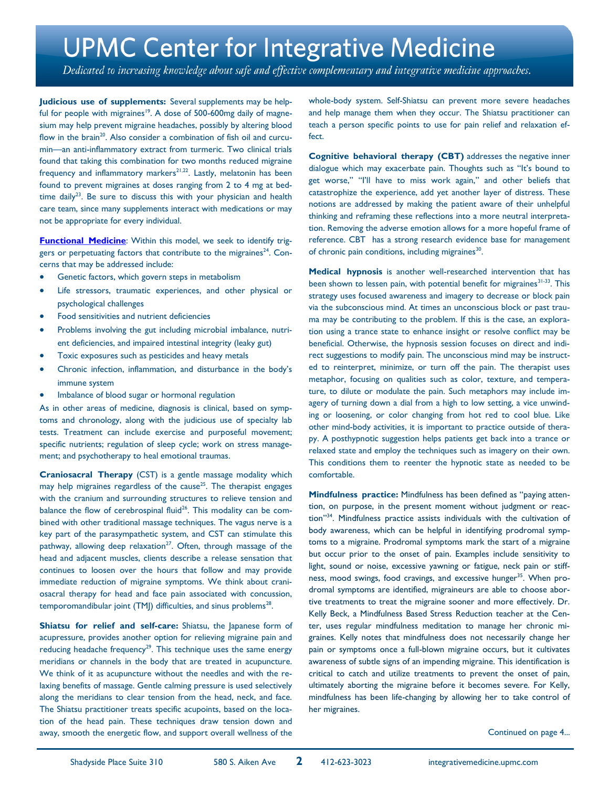Dedicated to increasing knowledge about safe and effective complementary and integrative medicine approaches.

**Judicious use of supplements:** Several supplements may be helpful for people with migraines<sup>19</sup>. A dose of 500-600mg daily of magnesium may help prevent migraine headaches, possibly by altering blood flow in the brain<sup>20</sup>. Also consider a combination of fish oil and curcumin—an anti-inflammatory extract from turmeric. Two clinical trials found that taking this combination for two months reduced migraine frequency and inflammatory markers<sup>21,22</sup>. Lastly, melatonin has been found to prevent migraines at doses ranging from 2 to 4 mg at bedtime daily<sup>23</sup>. Be sure to discuss this with your physician and health care team, since many supplements interact with medications or may not be appropriate for every individual.

**[Functional Medicine](https://www.upmc.com/-/media/upmc/services/integrative-medicine/documents/upmc-cim-newsletter-winter-2015.pdf?la=en&hash=D8E89E9A5596D35163ECAD1658ACC7E9A95A0802)**: Within this model, we seek to identify triggers or perpetuating factors that contribute to the migraines<sup>24</sup>. Concerns that may be addressed include:

- Genetic factors, which govern steps in metabolism
- Life stressors, traumatic experiences, and other physical or psychological challenges
- Food sensitivities and nutrient deficiencies
- Problems involving the gut including microbial imbalance, nutrient deficiencies, and impaired intestinal integrity (leaky gut)
- Toxic exposures such as pesticides and heavy metals
- Chronic infection, inflammation, and disturbance in the body's immune system
- Imbalance of blood sugar or hormonal regulation

As in other areas of medicine, diagnosis is clinical, based on symptoms and chronology, along with the judicious use of specialty lab tests. Treatment can include exercise and purposeful movement; specific nutrients; regulation of sleep cycle; work on stress management; and psychotherapy to heal emotional traumas.

**Craniosacral Therapy** (CST) is a gentle massage modality which may help migraines regardless of the cause<sup>25</sup>. The therapist engages with the cranium and surrounding structures to relieve tension and balance the flow of cerebrospinal fluid<sup>26</sup>. This modality can be combined with other traditional massage techniques. The vagus nerve is a key part of the parasympathetic system, and CST can stimulate this pathway, allowing deep relaxation<sup>27</sup>. Often, through massage of the head and adjacent muscles, clients describe a release sensation that continues to loosen over the hours that follow and may provide immediate reduction of migraine symptoms. We think about craniosacral therapy for head and face pain associated with concussion,  $temporomandibular joint (TMJ)$  difficulties, and sinus problems $^{28}$ .

**Shiatsu for relief and self-care:** Shiatsu, the Japanese form of acupressure, provides another option for relieving migraine pain and reducing headache frequency<sup>29</sup>. This technique uses the same energy meridians or channels in the body that are treated in acupuncture. We think of it as acupuncture without the needles and with the relaxing benefits of massage. Gentle calming pressure is used selectively along the meridians to clear tension from the head, neck, and face. The Shiatsu practitioner treats specific acupoints, based on the location of the head pain. These techniques draw tension down and away, smooth the energetic flow, and support overall wellness of the

whole-body system. Self-Shiatsu can prevent more severe headaches and help manage them when they occur. The Shiatsu practitioner can teach a person specific points to use for pain relief and relaxation effect.

**Cognitive behavioral therapy (CBT)** addresses the negative inner dialogue which may exacerbate pain. Thoughts such as "It's bound to get worse," "I'll have to miss work again," and other beliefs that catastrophize the experience, add yet another layer of distress. These notions are addressed by making the patient aware of their unhelpful thinking and reframing these reflections into a more neutral interpretation. Removing the adverse emotion allows for a more hopeful frame of reference. CBT has a strong research evidence base for management of chronic pain conditions, including migraines<sup>30</sup>.

**Medical hypnosis** is another well-researched intervention that has been shown to lessen pain, with potential benefit for migraines<sup>31-33</sup>. This strategy uses focused awareness and imagery to decrease or block pain via the subconscious mind. At times an unconscious block or past trauma may be contributing to the problem. If this is the case, an exploration using a trance state to enhance insight or resolve conflict may be beneficial. Otherwise, the hypnosis session focuses on direct and indirect suggestions to modify pain. The unconscious mind may be instructed to reinterpret, minimize, or turn off the pain. The therapist uses metaphor, focusing on qualities such as color, texture, and temperature, to dilute or modulate the pain. Such metaphors may include imagery of turning down a dial from a high to low setting, a vice unwinding or loosening, or color changing from hot red to cool blue. Like other mind-body activities, it is important to practice outside of therapy. A posthypnotic suggestion helps patients get back into a trance or relaxed state and employ the techniques such as imagery on their own. This conditions them to reenter the hypnotic state as needed to be comfortable.

**Mindfulness practice:** Mindfulness has been defined as "paying attention, on purpose, in the present moment without judgment or reaction"<sup>34</sup>. Mindfulness practice assists individuals with the cultivation of body awareness, which can be helpful in identifying prodromal symptoms to a migraine. Prodromal symptoms mark the start of a migraine but occur prior to the onset of pain. Examples include sensitivity to light, sound or noise, excessive yawning or fatigue, neck pain or stiffness, mood swings, food cravings, and excessive hunger<sup>35</sup>. When prodromal symptoms are identified, migraineurs are able to choose abortive treatments to treat the migraine sooner and more effectively. Dr. Kelly Beck, a Mindfulness Based Stress Reduction teacher at the Center, uses regular mindfulness meditation to manage her chronic migraines. Kelly notes that mindfulness does not necessarily change her pain or symptoms once a full-blown migraine occurs, but it cultivates awareness of subtle signs of an impending migraine. This identification is critical to catch and utilize treatments to prevent the onset of pain, ultimately aborting the migraine before it becomes severe. For Kelly, mindfulness has been life-changing by allowing her to take control of her migraines.

Continued on page 4...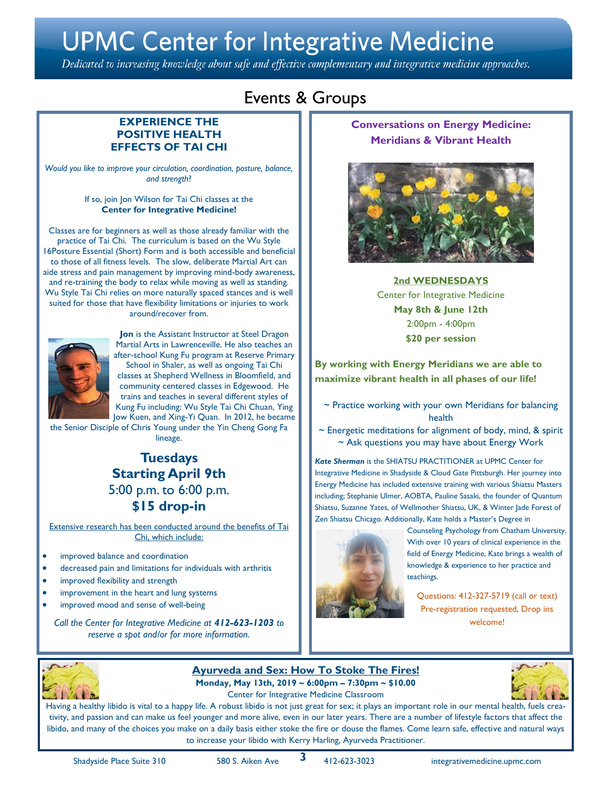Dedicated to increasing knowledge about safe and effective complementary and integrative medicine approaches.

### Events & Groups

#### **EXPERIENCE THE POSITIVE HEALTH EFFECTS OF TAI CHI**

*Would you like to improve your circulation, coordination, posture, balance, and strength*?

> If so, join Jon Wilson for Tai Chi classes at the **Center for Integrative Medicine!**

Classes are for beginners as well as those already familiar with the practice of Tai Chi. The curriculum is based on the Wu Style 16Posture Essential (Short) Form and is both accessible and beneficial to those of all fitness levels. The slow, deliberate Martial Art can aide stress and pain management by improving mind-body awareness, and re-training the body to relax while moving as well as standing. Wu Style Tai Chi relies on more naturally spaced stances and is well suited for those that have flexibility limitations or injuries to work around/recover from.



**Jon** is the Assistant Instructor at Steel Dragon Martial Arts in Lawrenceville. He also teaches an after-school Kung Fu program at Reserve Primary School in Shaler, as well as ongoing Tai Chi classes at Shepherd Wellness in Bloomfield, and community centered classes in Edgewood. He trains and teaches in several different styles of Kung Fu including: Wu Style Tai Chi Chuan, Ying Jow Kuen, and Xing-Yi Quan. In 2012, he became

the Senior Disciple of Chris Young under the Yin Cheng Gong Fa lineage.

### **Tuesdays Starting April 9th** 5:00 p.m. to 6:00 p.m. **\$15 drop-in**

Extensive research has been conducted around the benefits of Tai Chi, which include:

- improved balance and coordination
- decreased pain and limitations for individuals with arthritis
- improved flexibility and strength
- improvement in the heart and lung systems
- improved mood and sense of well-being

*Call the Center for Integrative Medicine at 412-623-1203 to reserve a spot and/or for more information.*

### **Conversations on Energy Medicine: Meridians & Vibrant Health**



**2nd WEDNESDAYS** Center for [Integrative Medicine](https://cloudgatepgh.us13.list-manage.com/track/click?u=ff7465b4e6ceb3386eeb71639&id=b1fa0f925b&e=eb32ba1b65)  **May 8th & June 12th** 2:00pm - 4:00pm **\$20 per session**

**By working with Energy Meridians we are able to maximize vibrant health in all phases of our life!**

 $\sim$  Practice working with your own Meridians for balancing health

 $\sim$  Energetic meditations for alignment of body, mind, & spirit ~ Ask questions you may have about Energy Work

*Kate Sherman* is the SHIATSU PRACTITIONER at UPMC Center for Integrative Medicine in Shadyside & Cloud Gate Pittsburgh. Her journey into Energy Medicine has included extensive training with various Shiatsu Masters including; Stephanie Ulmer, AOBTA, Pauline Sasaki, the founder of Quantum Shiatsu, Suzanne Yates, of Wellmother Shiatsu, UK, & Winter Jade Forest of Zen Shiatsu Chicago. Additionally, Kate holds a Master's Degree in



Counseling Psychology from Chatham University. With over 10 years of clinical experience in the field of Energy Medicine, Kate brings a wealth of knowledge & experience to her practice and teachings.

Questions: 412-327-5719 (call or text) Pre-registration requested, Drop ins welcome!



### **Ayurveda and Sex: How To Stoke The Fires! Monday, May 13th, 2019 ~ 6:00pm – 7:30pm ~ \$10.00**

Center for Integrative Medicine Classroom



Having a healthy libido is vital to a happy life. A robust libido is not just great for sex; it plays an important role in our mental health, fuels creativity, and passion and can make us feel younger and more alive, even in our later years. There are a number of lifestyle factors that affect the libido, and many of the choices you make on a daily basis either stoke the fire or douse the flames. Come learn safe, effective and natural ways to increase your libido with Kerry Harling, Ayurveda Practitioner.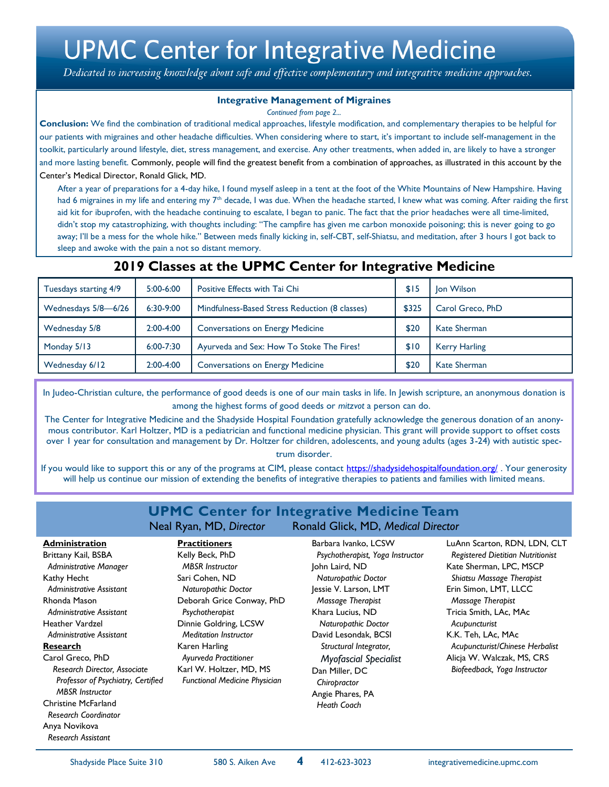Dedicated to increasing knowledge about safe and effective complementary and integrative medicine approaches.

#### **Integrative Management of Migraines**

*Continued from page 2...*

**Conclusion:** We find the combination of traditional medical approaches, lifestyle modification, and complementary therapies to be helpful for our patients with migraines and other headache difficulties. When considering where to start, it's important to include self-management in the toolkit, particularly around lifestyle, diet, stress management, and exercise. Any other treatments, when added in, are likely to have a stronger and more lasting benefit. Commonly, people will find the greatest benefit from a combination of approaches, as illustrated in this account by the Center's Medical Director, Ronald Glick, MD.

After a year of preparations for a 4-day hike, I found myself asleep in a tent at the foot of the White Mountains of New Hampshire. Having had 6 migraines in my life and entering my 7<sup>th</sup> decade, I was due. When the headache started, I knew what was coming. After raiding the first aid kit for ibuprofen, with the headache continuing to escalate, I began to panic. The fact that the prior headaches were all time-limited, didn't stop my catastrophizing, with thoughts including: "The campfire has given me carbon monoxide poisoning; this is never going to go away; I'll be a mess for the whole hike." Between meds finally kicking in, self-CBT, self-Shiatsu, and meditation, after 3 hours I got back to sleep and awoke with the pain a not so distant memory.

| <b>ZUI 7 CIASSES AL LIIE OI I'IU UEIILEI IUI IIILE EI ALIVE I'IEUILIIIE</b> |               |                                                |       |                      |
|-----------------------------------------------------------------------------|---------------|------------------------------------------------|-------|----------------------|
| Tuesdays starting 4/9                                                       | $5:00-6:00$   | Positive Effects with Tai Chi                  | \$15  | <b>Jon Wilson</b>    |
| Wednesdays 5/8-6/26                                                         | $6:30-9:00$   | Mindfulness-Based Stress Reduction (8 classes) | \$325 | Carol Greco, PhD     |
| Wednesday 5/8                                                               | $2:00-4:00$   | <b>Conversations on Energy Medicine</b>        | \$20  | <b>Kate Sherman</b>  |
| Monday 5/13                                                                 | $6:00 - 7:30$ | Ayurveda and Sex: How To Stoke The Fires!      | \$10  | <b>Kerry Harling</b> |
| Wednesday 6/12                                                              | $2:00-4:00$   | <b>Conversations on Energy Medicine</b>        | \$20  | <b>Kate Sherman</b>  |

### **2019 Classes at the UPMC Center for Integrative Medicine**

In Judeo-Christian culture, the performance of good deeds is one of our main tasks in life. In Jewish scripture, an anonymous donation is among the highest forms of good deeds or *mitzvot* a person can do.

The Center for Integrative Medicine and the Shadyside Hospital Foundation gratefully acknowledge the generous donation of an anonymous contributor. Karl Holtzer, MD is a pediatrician and functional medicine physician. This grant will provide support to offset costs over 1 year for consultation and management by Dr. Holtzer for children, adolescents, and young adults (ages 3-24) with autistic spectrum disorder.

If you would like to support this or any of the programs at CIM, please contact <https://shadysidehospitalfoundation.org/>. Your generosity will help us continue our mission of extending the benefits of integrative therapies to patients and families with limited means.

#### **UPMC Center for Integrative Medicine Team** Neal Ryan, MD, *Director* Ronald Glick, MD, *Medical Director* Barbara Ivanko, LCSW  *Psychotherapist, Yoga Instructor* **Practitioners** Kelly Beck, PhD

 *Administrative Manager* Kathy Hecht  *Administrative Assistant* Rhonda Mason  *Administrative Assistant*  Heather Vardzel  *Administrative Assistant* **Research** Carol Greco, PhD  *Research Director, Associate Professor of Psychiatry, Certified MBSR Instructor* Christine McFarland *Research Coordinator* Anya Novikova

 *Research Assistant*

**Administration** Brittany Kail, BSBA

 *MBSR Instructor* Sari Cohen, ND  *Naturopathic Doctor* Deborah Grice Conway, PhD  *Psychotherapist* Dinnie Goldring, LCSW  *Meditation Instructor* Karen Harling *Ayurveda Practitioner* Karl W. Holtzer, MD, MS  *Functional Medicine Physician*

John Laird, ND  *Naturopathic Doctor* Jessie V. Larson, LMT  *Massage Therapist* Khara Lucius, ND *Naturopathic Doctor* David Lesondak, BCSI *Structural Integrator, Myofascial Specialist* Dan Miller, DC  *Chiropractor* Angie Phares, PA  *Heath Coach*

LuAnn Scarton, RDN, LDN, CLT *Registered Dietitian Nutritionist*  Kate Sherman, LPC, MSCP  *Shiatsu Massage Therapist* Erin Simon, LMT, LLCC  *Massage Therapist* Tricia Smith, LAc, MAc  *Acupuncturist* K.K. Teh, LAc, MAc  *Acupuncturist/Chinese Herbalist* Alicja W. Walczak, MS, CRS  *Biofeedback, Yoga Instructor*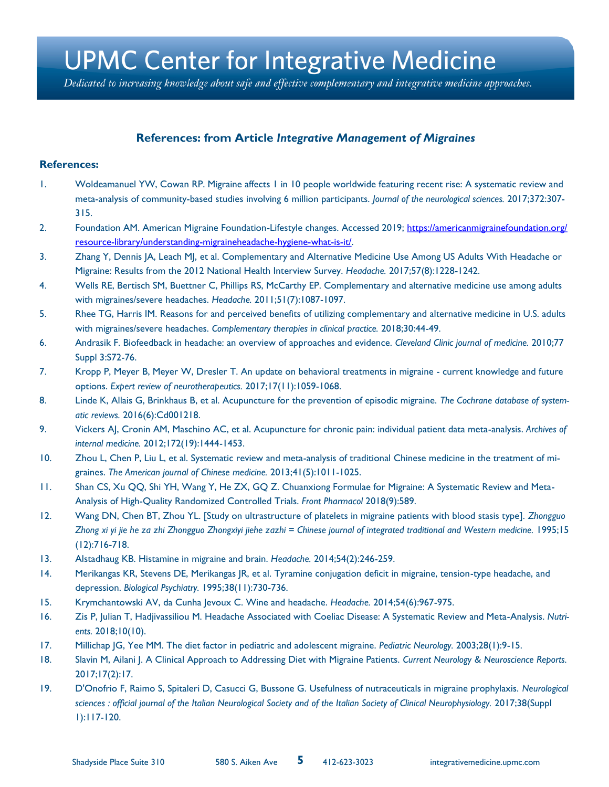Dedicated to increasing knowledge about safe and effective complementary and integrative medicine approaches.

### **References: from Article** *Integrative Management of Migraines*

#### **References:**

- 1. Woldeamanuel YW, Cowan RP. Migraine affects 1 in 10 people worldwide featuring recent rise: A systematic review and meta-analysis of community-based studies involving 6 million participants. *Journal of the neurological sciences.* 2017;372:307- 315.
- 2. Foundation AM. American Migraine Foundation-Lifestyle changes. Accessed 2019; [https://americanmigrainefoundation.org/](https://americanmigrainefoundation.org/resource-library/understanding-migraineheadache-hygiene-what-is-it/) [resource-library/understanding-migraineheadache-hygiene-what-is-it/.](https://americanmigrainefoundation.org/resource-library/understanding-migraineheadache-hygiene-what-is-it/)
- 3. Zhang Y, Dennis JA, Leach MJ, et al. Complementary and Alternative Medicine Use Among US Adults With Headache or Migraine: Results from the 2012 National Health Interview Survey. *Headache.* 2017;57(8):1228-1242.
- 4. Wells RE, Bertisch SM, Buettner C, Phillips RS, McCarthy EP. Complementary and alternative medicine use among adults with migraines/severe headaches. *Headache.* 2011;51(7):1087-1097.
- 5. Rhee TG, Harris IM. Reasons for and perceived benefits of utilizing complementary and alternative medicine in U.S. adults with migraines/severe headaches. *Complementary therapies in clinical practice.* 2018;30:44-49.
- 6. Andrasik F. Biofeedback in headache: an overview of approaches and evidence. *Cleveland Clinic journal of medicine.* 2010;77 Suppl 3:S72-76.
- 7. Kropp P, Meyer B, Meyer W, Dresler T. An update on behavioral treatments in migraine current knowledge and future options. *Expert review of neurotherapeutics.* 2017;17(11):1059-1068.
- 8. Linde K, Allais G, Brinkhaus B, et al. Acupuncture for the prevention of episodic migraine. *The Cochrane database of systematic reviews.* 2016(6):Cd001218.
- 9. Vickers AJ, Cronin AM, Maschino AC, et al. Acupuncture for chronic pain: individual patient data meta-analysis. *Archives of internal medicine.* 2012;172(19):1444-1453.
- 10. Zhou L, Chen P, Liu L, et al. Systematic review and meta-analysis of traditional Chinese medicine in the treatment of migraines. *The American journal of Chinese medicine.* 2013;41(5):1011-1025.
- 11. Shan CS, Xu QQ, Shi YH, Wang Y, He ZX, GQ Z. Chuanxiong Formulae for Migraine: A Systematic Review and Meta-Analysis of High-Quality Randomized Controlled Trials. *Front Pharmacol* 2018(9):589.
- 12. Wang DN, Chen BT, Zhou YL. [Study on ultrastructure of platelets in migraine patients with blood stasis type]. *Zhongguo*  Zhong xi yi jie he za zhi Zhongguo Zhongxiyi jiehe zazhi = Chinese journal of integrated traditional and Western medicine. 1995;15 (12):716-718.
- 13. Alstadhaug KB. Histamine in migraine and brain. *Headache.* 2014;54(2):246-259.
- 14. Merikangas KR, Stevens DE, Merikangas JR, et al. Tyramine conjugation deficit in migraine, tension-type headache, and depression. *Biological Psychiatry.* 1995;38(11):730-736.
- 15. Krymchantowski AV, da Cunha Jevoux C. Wine and headache. *Headache.* 2014;54(6):967-975.
- 16. Zis P, Julian T, Hadjivassiliou M. Headache Associated with Coeliac Disease: A Systematic Review and Meta-Analysis. *Nutrients.* 2018;10(10).
- 17. Millichap JG, Yee MM. The diet factor in pediatric and adolescent migraine. *Pediatric Neurology.* 2003;28(1):9-15.
- 18. Slavin M, Ailani J. A Clinical Approach to Addressing Diet with Migraine Patients. *Current Neurology & Neuroscience Reports.*  2017;17(2):17.
- 19. D'Onofrio F, Raimo S, Spitaleri D, Casucci G, Bussone G. Usefulness of nutraceuticals in migraine prophylaxis. *Neurological*  sciences : official journal of the Italian Neurological Society and of the Italian Society of Clinical Neurophysiology. 2017;38(Suppl 1):117-120.